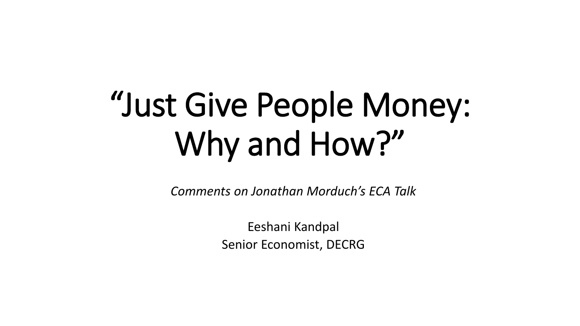# "Just Give People Money: Why and How?"

*Comments on Jonathan Morduch's ECA Talk*

Eeshani Kandpal Senior Economist, DECRG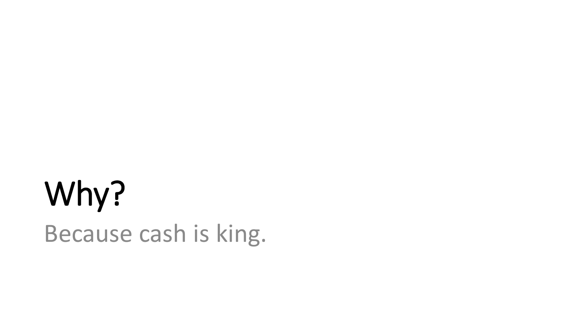## Why? Because cash is king.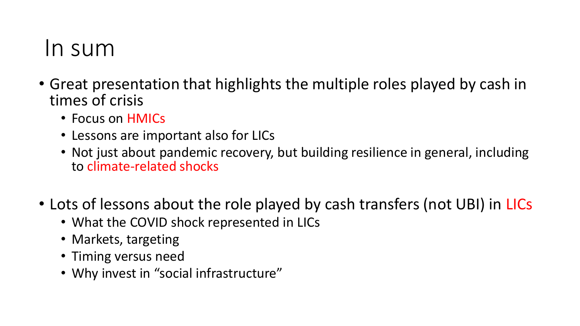#### In sum

- Great presentation that highlights the multiple roles played by cash in times of crisis
	- Focus on HMICs
	- Lessons are important also for LICs
	- Not just about pandemic recovery, but building resilience in general, including to climate-related shocks
- Lots of lessons about the role played by cash transfers (not UBI) in LICs
	- What the COVID shock represented in LICs
	- Markets, targeting
	- Timing versus need
	- Why invest in "social infrastructure"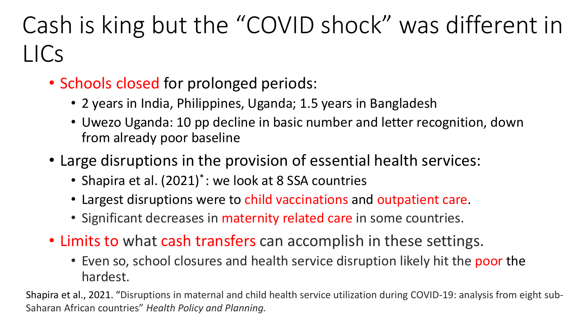### Cash is king but the "COVID shock" was different in LICs

- Schools closed for prolonged periods:
	- 2 years in India, Philippines, Uganda; 1.5 years in Bangladesh
	- Uwezo Uganda: 10 pp decline in basic number and letter recognition, down from already poor baseline
- Large disruptions in the provision of essential health services:
	- Shapira et al. (2021)<sup>\*</sup>: we look at 8 SSA countries
	- Largest disruptions were to child vaccinations and outpatient care.
	- Significant decreases in maternity related care in some countries.
- Limits to what cash transfers can accomplish in these settings.
	- Even so, school closures and health service disruption likely hit the poor the hardest.

Shapira et al., 2021. "Disruptions in maternal and child health service utilization during COVID-19: analysis from eight sub-Saharan African countries" *Health Policy and Planning.*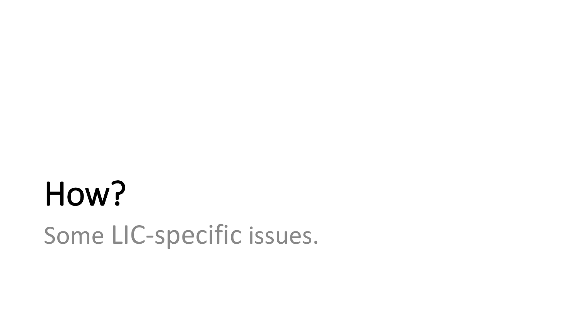# How? Some LIC-specific issues.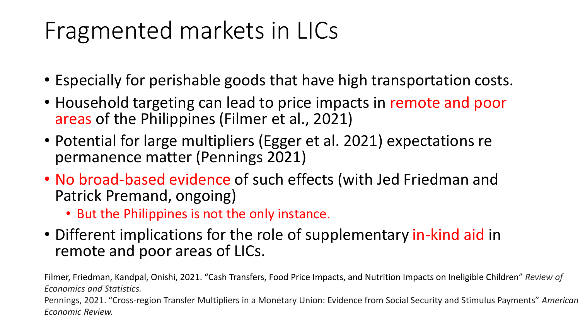#### Fragmented markets in LICs

- Especially for perishable goods that have high transportation costs.
- Household targeting can lead to price impacts in remote and poor areas of the Philippines (Filmer et al., 2021)
- Potential for large multipliers (Egger et al. 2021) expectations re permanence matter (Pennings 2021)
- No broad-based evidence of such effects (with Jed Friedman and Patrick Premand, ongoing)
	- But the Philippines is not the only instance.
- Different implications for the role of supplementary in-kind aid in remote and poor areas of LICs.

Filmer, Friedman, Kandpal, Onishi, 2021. "Cash Transfers, Food Price Impacts, and Nutrition Impacts on Ineligible Children" *Review of Economics and Statistics.*

Pennings, 2021. "Cross-region Transfer Multipliers in a Monetary Union: Evidence from Social Security and Stimulus Payments" *American Economic Review.*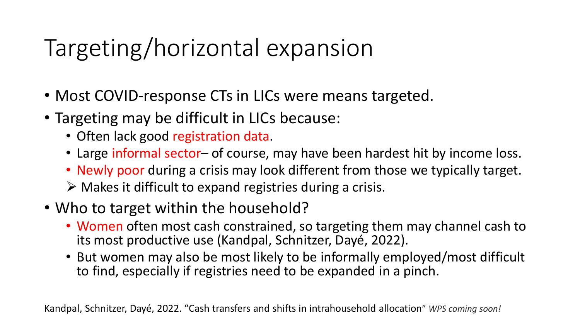### Targeting/horizontal expansion

- Most COVID-response CTs in LICs were means targeted.
- Targeting may be difficult in LICs because:
	- Often lack good registration data.
	- Large informal sector– of course, may have been hardest hit by income loss.
	- Newly poor during a crisis may look different from those we typically target.
	- $\triangleright$  Makes it difficult to expand registries during a crisis.
- Who to target within the household?
	- Women often most cash constrained, so targeting them may channel cash to its most productive use (Kandpal, Schnitzer, Dayé, 2022).
	- But women may also be most likely to be informally employed/most difficult to find, especially if registries need to be expanded in a pinch.

Kandpal, Schnitzer, Dayé, 2022. "Cash transfers and shifts in intrahousehold allocation" *WPS coming soon!*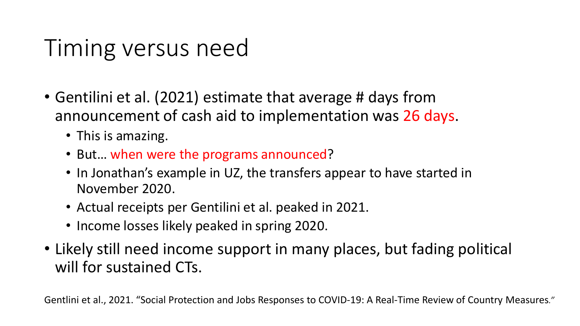### Timing versus need

- Gentilini et al. (2021) estimate that average # days from announcement of cash aid to implementation was 26 days.
	- This is amazing.
	- But… when were the programs announced?
	- In Jonathan's example in UZ, the transfers appear to have started in November 2020.
	- Actual receipts per Gentilini et al. peaked in 2021.
	- Income losses likely peaked in spring 2020.
- Likely still need income support in many places, but fading political will for sustained CTs.

Gentlini et al., 2021. "Social Protection and Jobs Responses to COVID-19: A Real-Time Review of Country Measures*."*